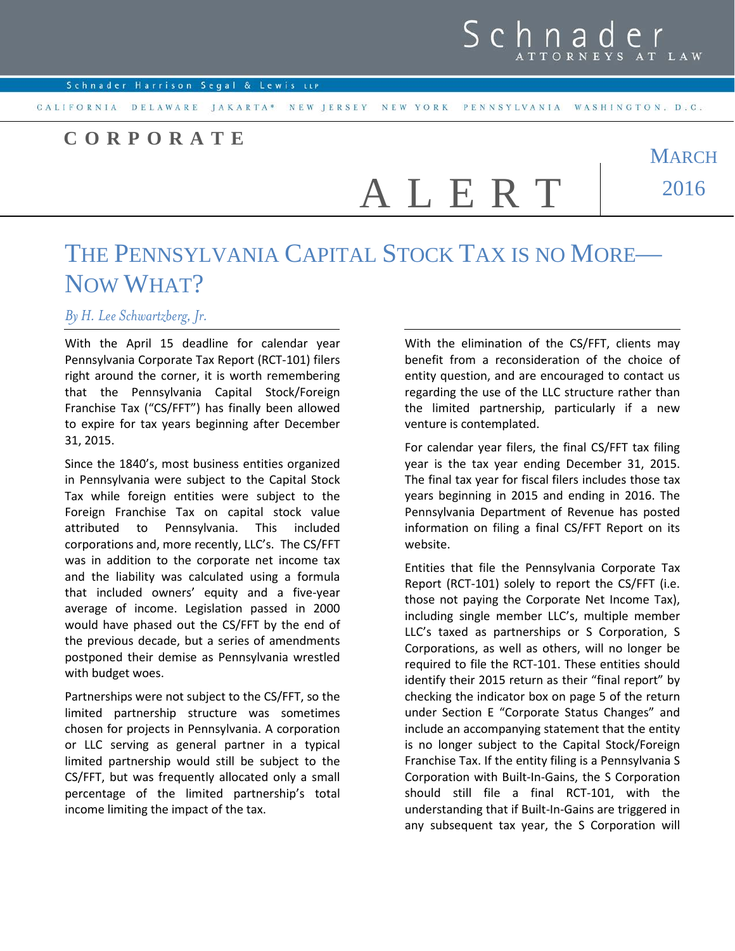## Schna

CALIFORNIA DELAWARE JAKARTA\* NEW JERSEY NEW YORK PENNSYLVANIA WASHINGTON, D.C.

## **CORPORATE**

**MARCH** 2016 A L E R T

## THE PENNSYLVANIA CAPITAL STOCK TAX IS NO MORE-NOW WHAT?

## *By H. Lee Schwartzberg, Jr.*

With the April 15 deadline for calendar year Pennsylvania Corporate Tax Report (RCT-101) filers right around the corner, it is worth remembering that the Pennsylvania Capital Stock/Foreign Franchise Tax ("CS/FFT") has finally been allowed to expire for tax years beginning after December 31, 2015.

Since the 1840's, most business entities organized in Pennsylvania were subject to the Capital Stock Tax while foreign entities were subject to the Foreign Franchise Tax on capital stock value attributed to Pennsylvania. This included corporations and, more recently, LLC's. The CS/FFT was in addition to the corporate net income tax and the liability was calculated using a formula that included owners' equity and a five-year average of income. Legislation passed in 2000 would have phased out the CS/FFT by the end of the previous decade, but a series of amendments postponed their demise as Pennsylvania wrestled with budget woes.

Partnerships were not subject to the CS/FFT, so the limited partnership structure was sometimes chosen for projects in Pennsylvania. A corporation or LLC serving as general partner in a typical limited partnership would still be subject to the CS/FFT, but was frequently allocated only a small percentage of the limited partnership's total income limiting the impact of the tax.

With the elimination of the CS/FFT, clients may benefit from a reconsideration of the choice of entity question, and are encouraged to contact us regarding the use of the LLC structure rather than the limited partnership, particularly if a new venture is contemplated.

For calendar year filers, the final CS/FFT tax filing year is the tax year ending December 31, 2015. The final tax year for fiscal filers includes those tax years beginning in 2015 and ending in 2016. The Pennsylvania Department of Revenue has posted information on filing a final CS/FFT Report on its website.

Entities that file the Pennsylvania Corporate Tax Report (RCT-101) solely to report the CS/FFT (i.e. those not paying the Corporate Net Income Tax), including single member LLC's, multiple member LLC's taxed as partnerships or S Corporation, S Corporations, as well as others, will no longer be required to file the RCT-101. These entities should identify their 2015 return as their "final report" by checking the indicator box on page 5 of the return under Section E "Corporate Status Changes" and include an accompanying statement that the entity is no longer subject to the Capital Stock/Foreign Franchise Tax. If the entity filing is a Pennsylvania S Corporation with Built-In-Gains, the S Corporation should still file a final RCT-101, with the understanding that if Built-In-Gains are triggered in any subsequent tax year, the S Corporation will